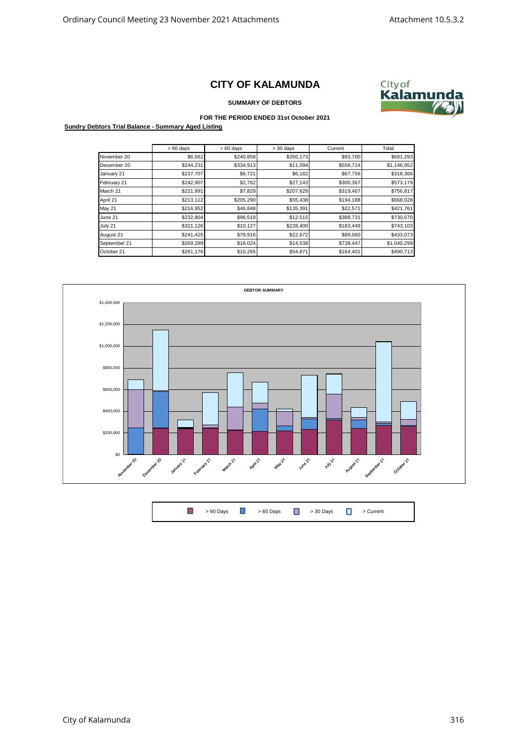## **CITY OF KALAMUNDA**



**SUMMARY OF DEBTORS**

## **FOR THE PERIOD ENDED 31st October 2021**

**Sundry Debtors Trial Balance - Summary Aged Listing**

|               | $> 90$ days | $>60$ days | $> 30$ days | Current   | Total       |
|---------------|-------------|------------|-------------|-----------|-------------|
| November 20   | \$6,562     | \$240,858  | \$350,173   | \$93,700  | \$691,293   |
| December 20   | \$244,231   | \$334,913  | \$11,094    | \$556,714 | \$1,146,952 |
| January 21    | \$237,707   | \$6,721    | \$6,182     | \$67,756  | \$318,366   |
| February 21   | \$242,907   | \$2,762    | \$27,143    | \$300,367 | \$573,179   |
| March 21      | \$221,891   | \$7,829    | \$207,629   | \$319,467 | \$756,817   |
| April 21      | \$213,112   | \$205,290  | \$55,438    | \$194,188 | \$668,028   |
| <b>May 21</b> | \$216,952   | \$46,848   | \$135,391   | \$22,571  | \$421,761   |
| June 21       | \$232,804   | \$96,519   | \$12,515    | \$388,731 | \$730,570   |
| July 21       | \$321,126   | \$10,127   | \$228,400   | \$183,449 | \$743,103   |
| August 21     | \$241,425   | \$79,916   | \$22,672    | \$89,060  | \$433,073   |
| September 21  | \$269,289   | \$18,024   | \$14,538    | \$738,447 | \$1,040,299 |
| October 21    | \$261,176   | \$10,265   | \$54,871    | \$164,401 | \$490,713   |



 $\Box$ > 90 Days **D** > 60 Days **D** > 30 Days **D** > Current